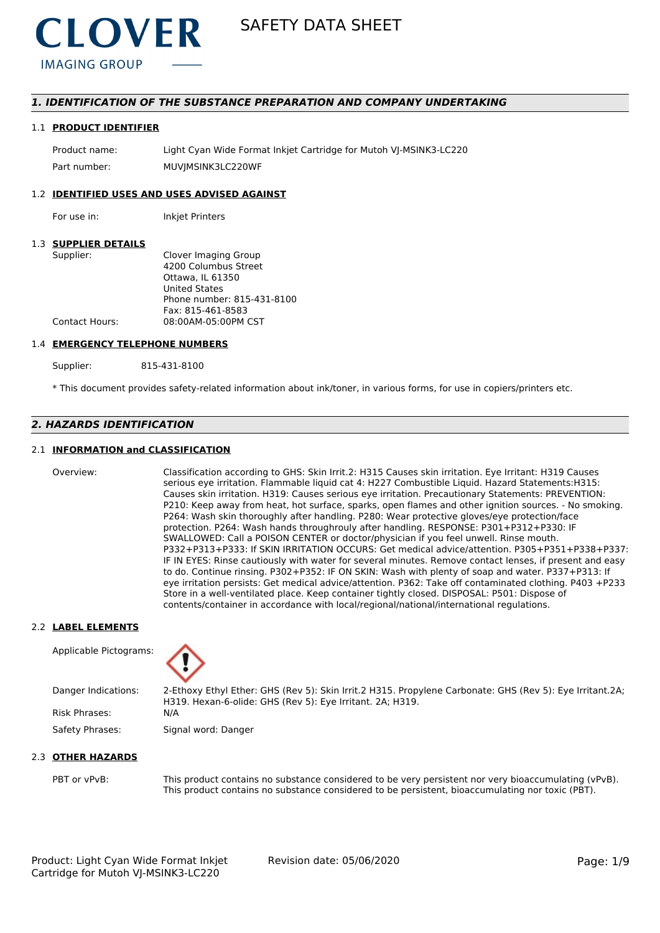

# *1. IDENTIFICATION OF THE SUBSTANCE PREPARATION AND COMPANY UNDERTAKING*

#### 1.1 **PRODUCT IDENTIFIER**

Product name: Light Cyan Wide Format Inkjet Cartridge for Mutoh VJ-MSINK3-LC220 Part number: MUVIMSINK3LC220WF

# 1.2 **IDENTIFIED USES AND USES ADVISED AGAINST**

For use in: Inkjet Printers

# 1.3 **SUPPLIER DETAILS**

| Supplier:      | Clover Imaging Group       |
|----------------|----------------------------|
|                | 4200 Columbus Street       |
|                | Ottawa. IL 61350           |
|                | <b>United States</b>       |
|                | Phone number: 815-431-8100 |
|                | Fax: 815-461-8583          |
| Contact Hours: | 08:00AM-05:00PM CST        |
|                |                            |

#### 1.4 **EMERGENCY TELEPHONE NUMBERS**

Supplier: 815-431-8100

\* This document provides safety-related information about ink/toner, in various forms, for use in copiers/printers etc.

# *2. HAZARDS IDENTIFICATION*

# 2.1 **INFORMATION and CLASSIFICATION**

Overview: Classification according to GHS: Skin Irrit.2: H315 Causes skin irritation. Eye Irritant: H319 Causes serious eye irritation. Flammable liquid cat 4: H227 Combustible Liquid. Hazard Statements:H315: Causes skin irritation. H319: Causes serious eye irritation. Precautionary Statements: PREVENTION: P210: Keep away from heat, hot surface, sparks, open flames and other ignition sources. - No smoking. P264: Wash skin thoroughly after handling. P280: Wear protective gloves/eye protection/face protection. P264: Wash hands throughrouly after handling. RESPONSE: P301+P312+P330: IF SWALLOWED: Call a POISON CENTER or doctor/physician if you feel unwell. Rinse mouth. P332+P313+P333: If SKIN IRRITATION OCCURS: Get medical advice/attention. P305+P351+P338+P337: IF IN EYES: Rinse cautiously with water for several minutes. Remove contact lenses, if present and easy to do. Continue rinsing. P302+P352: IF ON SKIN: Wash with plenty of soap and water. P337+P313: If eye irritation persists: Get medical advice/attention. P362: Take off contaminated clothing. P403 +P233 Store in a well-ventilated place. Keep container tightly closed. DISPOSAL: P501: Dispose of contents/container in accordance with local/regional/national/international regulations.

### 2.2 **LABEL ELEMENTS**

Applicable Pictograms:



Danger Indications: 2-Ethoxy Ethyl Ether: GHS (Rev 5): Skin Irrit.2 H315. Propylene Carbonate: GHS (Rev 5): Eye Irritant.2A; H319. Hexan-6-olide: GHS (Rev 5): Eye Irritant. 2A; H319. Risk Phrases: N/A

Safety Phrases: Signal word: Danger

## 2.3 **OTHER HAZARDS**

PBT or vPvB: This product contains no substance considered to be very persistent nor very bioaccumulating (vPvB). This product contains no substance considered to be persistent, bioaccumulating nor toxic (PBT).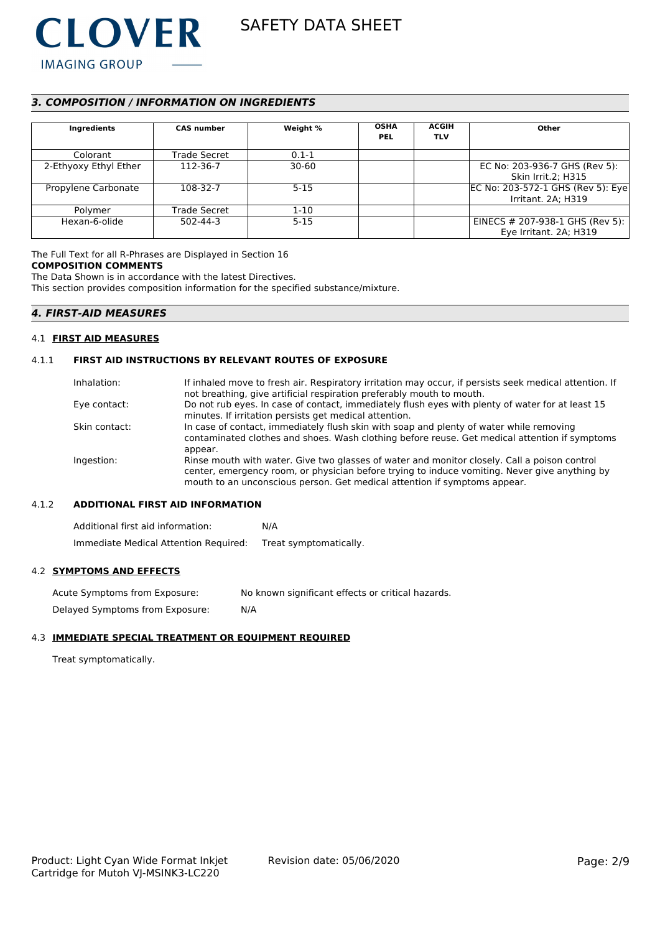

# *3. COMPOSITION / INFORMATION ON INGREDIENTS*

| Ingredients           | <b>CAS number</b> | Weight %  | <b>OSHA</b><br><b>PEL</b> | <b>ACGIH</b><br><b>TLV</b> | Other                              |
|-----------------------|-------------------|-----------|---------------------------|----------------------------|------------------------------------|
| Colorant              | Trade Secret      | $0.1 - 1$ |                           |                            |                                    |
| 2-Ethyoxy Ethyl Ether | 112-36-7          | $30 - 60$ |                           |                            | EC No: 203-936-7 GHS (Rev 5):      |
|                       |                   |           |                           |                            | <b>Skin Irrit.2; H315</b>          |
| Propylene Carbonate   | 108-32-7          | $5 - 15$  |                           |                            | EC No: 203-572-1 GHS (Rev 5): Eye  |
|                       |                   |           |                           |                            | Irritant. 2A; H319                 |
| Polymer               | Trade Secret      | $1 - 10$  |                           |                            |                                    |
| Hexan-6-olide         | 502-44-3          | $5 - 15$  |                           |                            | EINECS $\#$ 207-938-1 GHS (Rev 5): |
|                       |                   |           |                           |                            | Eye Irritant. 2A; H319             |

# The Full Text for all R-Phrases are Displayed in Section 16

#### **COMPOSITION COMMENTS**

The Data Shown is in accordance with the latest Directives.

This section provides composition information for the specified substance/mixture.

# *4. FIRST-AID MEASURES*

### 4.1 **FIRST AID MEASURES**

# 4.1.1 **FIRST AID INSTRUCTIONS BY RELEVANT ROUTES OF EXPOSURE**

| Inhalation:   | If inhaled move to fresh air. Respiratory irritation may occur, if persists seek medical attention. If<br>not breathing, give artificial respiration preferably mouth to mouth.                                                                                            |
|---------------|----------------------------------------------------------------------------------------------------------------------------------------------------------------------------------------------------------------------------------------------------------------------------|
| Eye contact:  | Do not rub eyes. In case of contact, immediately flush eyes with plenty of water for at least 15<br>minutes. If irritation persists get medical attention.                                                                                                                 |
| Skin contact: | In case of contact, immediately flush skin with soap and plenty of water while removing<br>contaminated clothes and shoes. Wash clothing before reuse. Get medical attention if symptoms<br>appear.                                                                        |
| Ingestion:    | Rinse mouth with water. Give two glasses of water and monitor closely. Call a poison control<br>center, emergency room, or physician before trying to induce vomiting. Never give anything by<br>mouth to an unconscious person. Get medical attention if symptoms appear. |

# 4.1.2 **ADDITIONAL FIRST AID INFORMATION**

Additional first aid information: N/A Immediate Medical Attention Required: Treat symptomatically.

### 4.2 **SYMPTOMS AND EFFECTS**

Acute Symptoms from Exposure: No known significant effects or critical hazards. Delayed Symptoms from Exposure: N/A

# 4.3 **IMMEDIATE SPECIAL TREATMENT OR EQUIPMENT REQUIRED**

Treat symptomatically.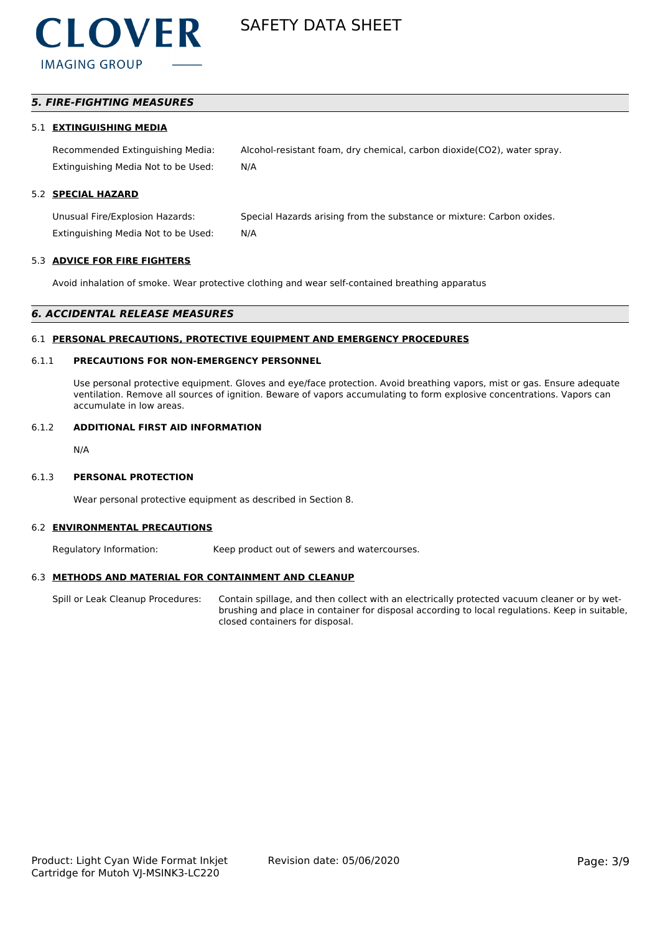

# *5. FIRE-FIGHTING MEASURES*

#### 5.1 **EXTINGUISHING MEDIA**

Recommended Extinguishing Media: Alcohol-resistant foam, dry chemical, carbon dioxide(CO2), water spray. Extinguishing Media Not to be Used: N/A

# 5.2 **SPECIAL HAZARD**

Unusual Fire/Explosion Hazards: Special Hazards arising from the substance or mixture: Carbon oxides. Extinguishing Media Not to be Used: N/A

#### 5.3 **ADVICE FOR FIRE FIGHTERS**

Avoid inhalation of smoke. Wear protective clothing and wear self-contained breathing apparatus

#### *6. ACCIDENTAL RELEASE MEASURES*

#### 6.1 **PERSONAL PRECAUTIONS, PROTECTIVE EQUIPMENT AND EMERGENCY PROCEDURES**

# 6.1.1 **PRECAUTIONS FOR NON-EMERGENCY PERSONNEL**

Use personal protective equipment. Gloves and eye/face protection. Avoid breathing vapors, mist or gas. Ensure adequate ventilation. Remove all sources of ignition. Beware of vapors accumulating to form explosive concentrations. Vapors can accumulate in low areas.

# 6.1.2 **ADDITIONAL FIRST AID INFORMATION**

N/A

#### 6.1.3 **PERSONAL PROTECTION**

Wear personal protective equipment as described in Section 8.

#### 6.2 **ENVIRONMENTAL PRECAUTIONS**

Regulatory Information: Keep product out of sewers and watercourses.

#### 6.3 **METHODS AND MATERIAL FOR CONTAINMENT AND CLEANUP**

Spill or Leak Cleanup Procedures: Contain spillage, and then collect with an electrically protected vacuum cleaner or by wetbrushing and place in container for disposal according to local regulations. Keep in suitable, closed containers for disposal.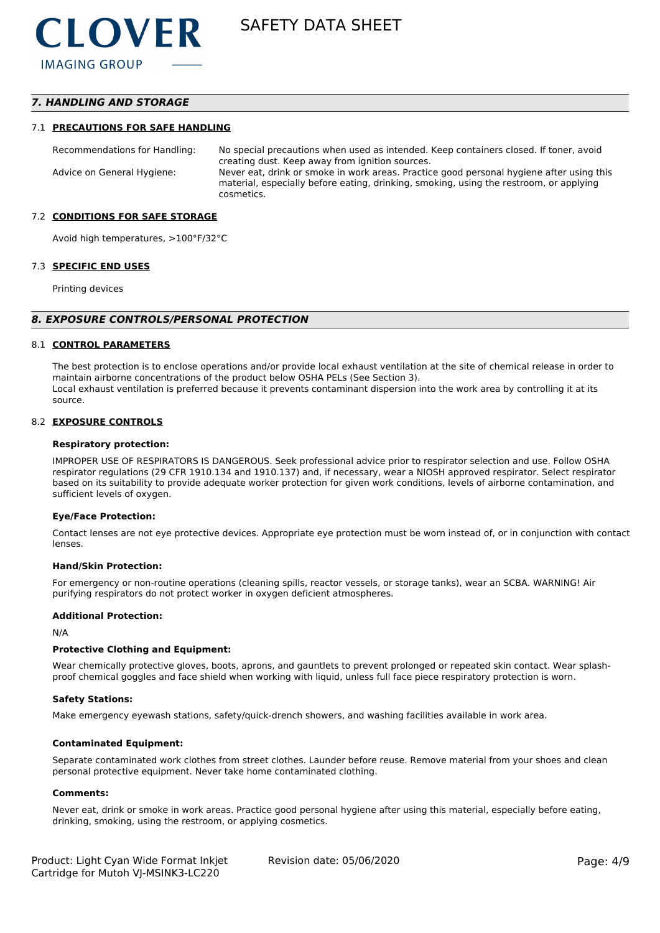# *7. HANDLING AND STORAGE*

#### 7.1 **PRECAUTIONS FOR SAFE HANDLING**

Recommendations for Handling: No special precautions when used as intended. Keep containers closed. If toner, avoid creating dust. Keep away from ignition sources. Advice on General Hygiene: Never eat, drink or smoke in work areas. Practice good personal hygiene after using this material, especially before eating, drinking, smoking, using the restroom, or applying cosmetics.

#### 7.2 **CONDITIONS FOR SAFE STORAGE**

Avoid high temperatures, >100°F/32°C

#### 7.3 **SPECIFIC END USES**

Printing devices

#### *8. EXPOSURE CONTROLS/PERSONAL PROTECTION*

#### 8.1 **CONTROL PARAMETERS**

The best protection is to enclose operations and/or provide local exhaust ventilation at the site of chemical release in order to maintain airborne concentrations of the product below OSHA PELs (See Section 3). Local exhaust ventilation is preferred because it prevents contaminant dispersion into the work area by controlling it at its source.

#### 8.2 **EXPOSURE CONTROLS**

#### **Respiratory protection:**

IMPROPER USE OF RESPIRATORS IS DANGEROUS. Seek professional advice prior to respirator selection and use. Follow OSHA respirator regulations (29 CFR 1910.134 and 1910.137) and, if necessary, wear a NIOSH approved respirator. Select respirator based on its suitability to provide adequate worker protection for given work conditions, levels of airborne contamination, and sufficient levels of oxygen.

#### **Eye/Face Protection:**

Contact lenses are not eye protective devices. Appropriate eye protection must be worn instead of, or in conjunction with contact lenses.

#### **Hand/Skin Protection:**

For emergency or non-routine operations (cleaning spills, reactor vessels, or storage tanks), wear an SCBA. WARNING! Air purifying respirators do not protect worker in oxygen deficient atmospheres.

#### **Additional Protection:**

N/A

#### **Protective Clothing and Equipment:**

Wear chemically protective gloves, boots, aprons, and gauntlets to prevent prolonged or repeated skin contact. Wear splashproof chemical goggles and face shield when working with liquid, unless full face piece respiratory protection is worn.

#### **Safety Stations:**

Make emergency eyewash stations, safety/quick-drench showers, and washing facilities available in work area.

#### **Contaminated Equipment:**

Separate contaminated work clothes from street clothes. Launder before reuse. Remove material from your shoes and clean personal protective equipment. Never take home contaminated clothing.

#### **Comments:**

Never eat, drink or smoke in work areas. Practice good personal hygiene after using this material, especially before eating, drinking, smoking, using the restroom, or applying cosmetics.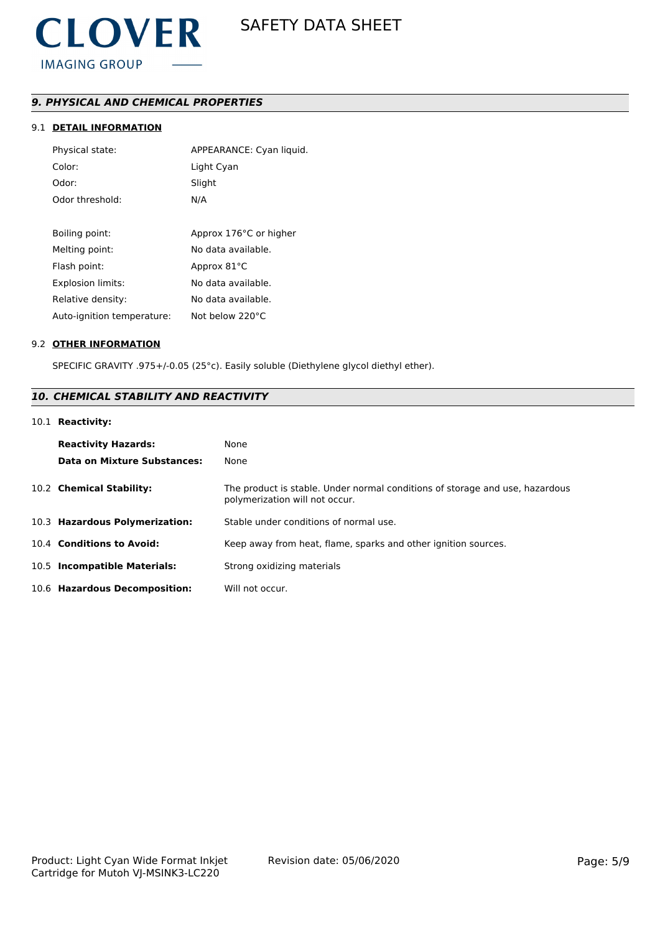# *9. PHYSICAL AND CHEMICAL PROPERTIES*

# 9.1 **DETAIL INFORMATION**

| Physical state:            | APPEARANCE: Cyan liquid. |
|----------------------------|--------------------------|
| Color:                     | Light Cyan               |
| Odor:                      | Slight                   |
| Odor threshold:            | N/A                      |
|                            |                          |
| Boiling point:             | Approx 176°C or higher   |
| Melting point:             | No data available.       |
| Flash point:               | Approx 81°C              |
| <b>Explosion limits:</b>   | No data available.       |
| Relative density:          | No data available.       |
| Auto-ignition temperature: | Not below 220°C          |

# 9.2 **OTHER INFORMATION**

SPECIFIC GRAVITY .975+/-0.05 (25°c). Easily soluble (Diethylene glycol diethyl ether).

# *10. CHEMICAL STABILITY AND REACTIVITY*

# 10.1 **Reactivity:**

| <b>Reactivity Hazards:</b><br>Data on Mixture Substances: | None<br>None                                                                                                   |
|-----------------------------------------------------------|----------------------------------------------------------------------------------------------------------------|
| 10.2 Chemical Stability:                                  | The product is stable. Under normal conditions of storage and use, hazardous<br>polymerization will not occur. |
| 10.3 Hazardous Polymerization:                            | Stable under conditions of normal use.                                                                         |
| 10.4 Conditions to Avoid:                                 | Keep away from heat, flame, sparks and other ignition sources.                                                 |
| 10.5 Incompatible Materials:                              | Strong oxidizing materials                                                                                     |
| 10.6 Hazardous Decomposition:                             | Will not occur.                                                                                                |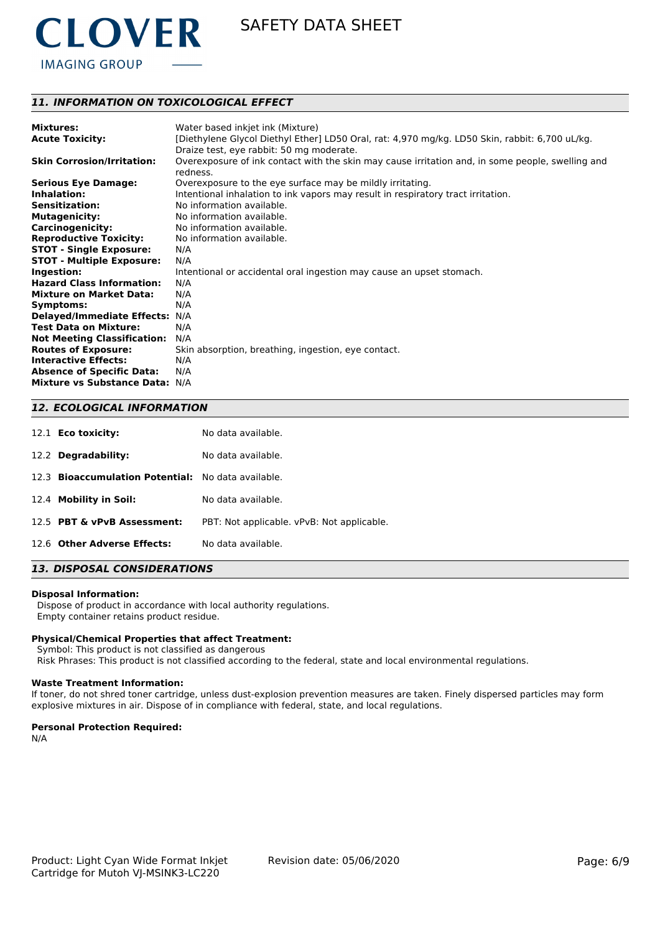

# *11. INFORMATION ON TOXICOLOGICAL EFFECT*

| <b>Mixtures:</b>                   | Water based inkjet ink (Mixture)                                                                             |
|------------------------------------|--------------------------------------------------------------------------------------------------------------|
| <b>Acute Toxicity:</b>             | [Diethylene Glycol Diethyl Ether] LD50 Oral, rat: 4,970 mg/kg. LD50 Skin, rabbit: 6,700 uL/kg.               |
|                                    | Draize test, eye rabbit: 50 mg moderate.                                                                     |
| <b>Skin Corrosion/Irritation:</b>  | Overexposure of ink contact with the skin may cause irritation and, in some people, swelling and<br>redness. |
| <b>Serious Eye Damage:</b>         | Overexposure to the eye surface may be mildly irritating.                                                    |
| Inhalation:                        | Intentional inhalation to ink vapors may result in respiratory tract irritation.                             |
| <b>Sensitization:</b>              | No information available.                                                                                    |
| <b>Mutagenicity:</b>               | No information available.                                                                                    |
| <b>Carcinogenicity:</b>            | No information available.                                                                                    |
| <b>Reproductive Toxicity:</b>      | No information available.                                                                                    |
| <b>STOT - Single Exposure:</b>     | N/A                                                                                                          |
| <b>STOT - Multiple Exposure:</b>   | N/A                                                                                                          |
| Ingestion:                         | Intentional or accidental oral ingestion may cause an upset stomach.                                         |
| <b>Hazard Class Information:</b>   | N/A                                                                                                          |
| <b>Mixture on Market Data:</b>     | N/A                                                                                                          |
| Symptoms:                          | N/A                                                                                                          |
| <b>Delayed/Immediate Effects:</b>  | N/A                                                                                                          |
| <b>Test Data on Mixture:</b>       | N/A                                                                                                          |
| <b>Not Meeting Classification:</b> | N/A                                                                                                          |
| <b>Routes of Exposure:</b>         | Skin absorption, breathing, ingestion, eye contact.                                                          |
| <b>Interactive Effects:</b>        | N/A                                                                                                          |
| <b>Absence of Specific Data:</b>   | N/A                                                                                                          |
| <b>Mixture vs Substance Data:</b>  | N/A                                                                                                          |

# *12. ECOLOGICAL INFORMATION*

| 12.1 <b>Eco toxicity:</b>                                    | No data available.                         |
|--------------------------------------------------------------|--------------------------------------------|
| 12.2 Degradability:                                          | No data available.                         |
| <b>Bioaccumulation Potential:</b> No data available.<br>12.3 |                                            |
| 12.4 Mobility in Soil:                                       | No data available.                         |
| 12.5 PBT & vPvB Assessment:                                  | PBT: Not applicable. vPvB: Not applicable. |
| 12.6 Other Adverse Effects:                                  | No data available.                         |

# *13. DISPOSAL CONSIDERATIONS*

#### **Disposal Information:**

 Dispose of product in accordance with local authority regulations. Empty container retains product residue.

#### **Physical/Chemical Properties that affect Treatment:**

Symbol: This product is not classified as dangerous

Risk Phrases: This product is not classified according to the federal, state and local environmental regulations.

#### **Waste Treatment Information:**

If toner, do not shred toner cartridge, unless dust-explosion prevention measures are taken. Finely dispersed particles may form explosive mixtures in air. Dispose of in compliance with federal, state, and local regulations.

#### **Personal Protection Required:**

N/A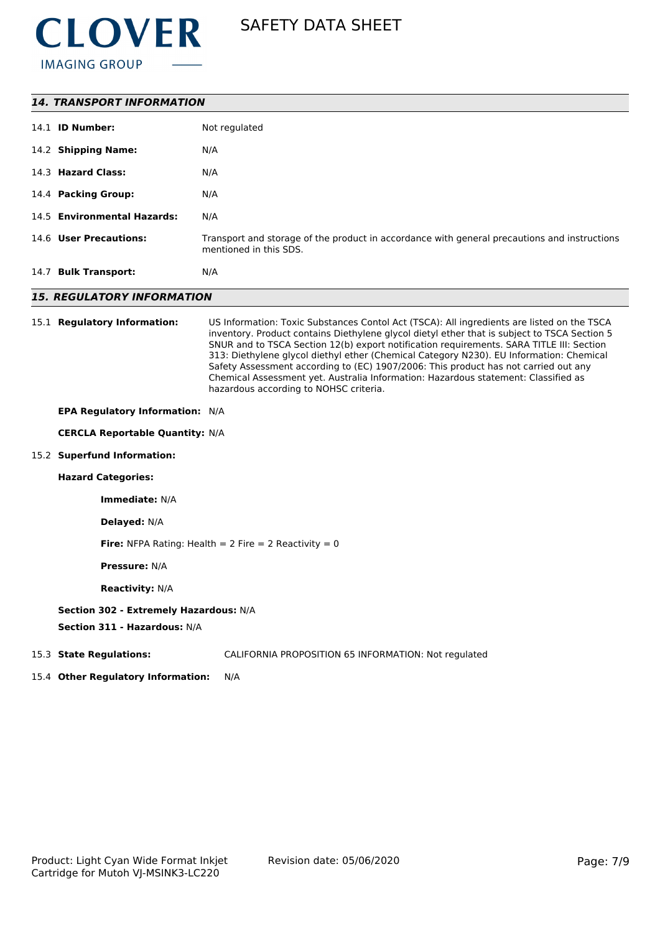

| <b>14. TRANSPORT INFORMATION</b>                                       |                                                                                                                                                                                                                                                                                                                                                                                                                                                                                                                                                                                                          |  |  |
|------------------------------------------------------------------------|----------------------------------------------------------------------------------------------------------------------------------------------------------------------------------------------------------------------------------------------------------------------------------------------------------------------------------------------------------------------------------------------------------------------------------------------------------------------------------------------------------------------------------------------------------------------------------------------------------|--|--|
| 14.1 <b>ID Number:</b>                                                 | Not regulated                                                                                                                                                                                                                                                                                                                                                                                                                                                                                                                                                                                            |  |  |
| 14.2 Shipping Name:                                                    | N/A                                                                                                                                                                                                                                                                                                                                                                                                                                                                                                                                                                                                      |  |  |
| 14.3 Hazard Class:                                                     | N/A                                                                                                                                                                                                                                                                                                                                                                                                                                                                                                                                                                                                      |  |  |
| 14.4 Packing Group:                                                    | N/A                                                                                                                                                                                                                                                                                                                                                                                                                                                                                                                                                                                                      |  |  |
| 14.5 Environmental Hazards:                                            | N/A                                                                                                                                                                                                                                                                                                                                                                                                                                                                                                                                                                                                      |  |  |
| 14.6 User Precautions:                                                 | Transport and storage of the product in accordance with general precautions and instructions<br>mentioned in this SDS.                                                                                                                                                                                                                                                                                                                                                                                                                                                                                   |  |  |
| 14.7 Bulk Transport:                                                   | N/A                                                                                                                                                                                                                                                                                                                                                                                                                                                                                                                                                                                                      |  |  |
| <b>15. REGULATORY INFORMATION</b>                                      |                                                                                                                                                                                                                                                                                                                                                                                                                                                                                                                                                                                                          |  |  |
| 15.1 Regulatory Information:                                           | US Information: Toxic Substances Contol Act (TSCA): All ingredients are listed on the TSCA<br>inventory. Product contains Diethylene glycol dietyl ether that is subject to TSCA Section 5<br>SNUR and to TSCA Section 12(b) export notification requirements. SARA TITLE III: Section<br>313: Diethylene glycol diethyl ether (Chemical Category N230). EU Information: Chemical<br>Safety Assessment according to (EC) 1907/2006: This product has not carried out any<br>Chemical Assessment yet. Australia Information: Hazardous statement: Classified as<br>hazardous according to NOHSC criteria. |  |  |
| EPA Regulatory Information: N/A                                        |                                                                                                                                                                                                                                                                                                                                                                                                                                                                                                                                                                                                          |  |  |
| <b>CERCLA Reportable Quantity: N/A</b>                                 |                                                                                                                                                                                                                                                                                                                                                                                                                                                                                                                                                                                                          |  |  |
| 15.2 Superfund Information:                                            |                                                                                                                                                                                                                                                                                                                                                                                                                                                                                                                                                                                                          |  |  |
| <b>Hazard Categories:</b>                                              |                                                                                                                                                                                                                                                                                                                                                                                                                                                                                                                                                                                                          |  |  |
| Immediate: N/A                                                         |                                                                                                                                                                                                                                                                                                                                                                                                                                                                                                                                                                                                          |  |  |
| Delayed: N/A                                                           |                                                                                                                                                                                                                                                                                                                                                                                                                                                                                                                                                                                                          |  |  |
| <b>Fire:</b> NFPA Rating: Health = $2$ Fire = $2$ Reactivity = 0       |                                                                                                                                                                                                                                                                                                                                                                                                                                                                                                                                                                                                          |  |  |
| <b>Pressure: N/A</b>                                                   |                                                                                                                                                                                                                                                                                                                                                                                                                                                                                                                                                                                                          |  |  |
| <b>Reactivity: N/A</b>                                                 |                                                                                                                                                                                                                                                                                                                                                                                                                                                                                                                                                                                                          |  |  |
| Section 302 - Extremely Hazardous: N/A<br>Section 311 - Hazardous: N/A |                                                                                                                                                                                                                                                                                                                                                                                                                                                                                                                                                                                                          |  |  |
| 15.3 State Regulations:                                                | CALIFORNIA PROPOSITION 65 INFORMATION: Not regulated                                                                                                                                                                                                                                                                                                                                                                                                                                                                                                                                                     |  |  |

15.4 **Other Regulatory Information:** N/A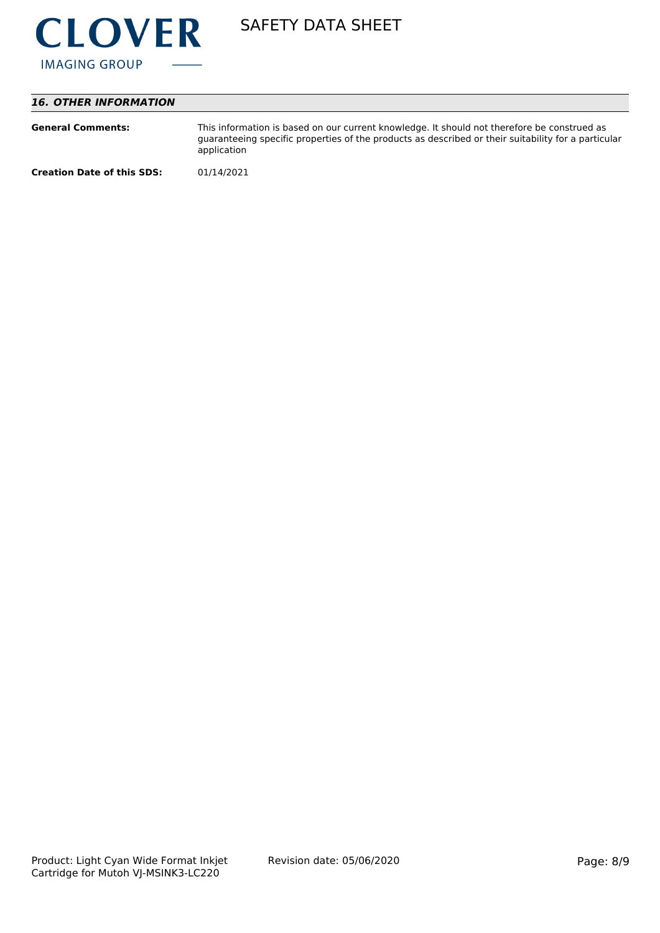

# *16. OTHER INFORMATION*

| <b>General Comments:</b>          | This information is based on our current knowledge. It should not therefore be construed as<br>guaranteeing specific properties of the products as described or their suitability for a particular<br>application |
|-----------------------------------|-------------------------------------------------------------------------------------------------------------------------------------------------------------------------------------------------------------------|
| <b>Creation Date of this SDS:</b> | 01/14/2021                                                                                                                                                                                                        |